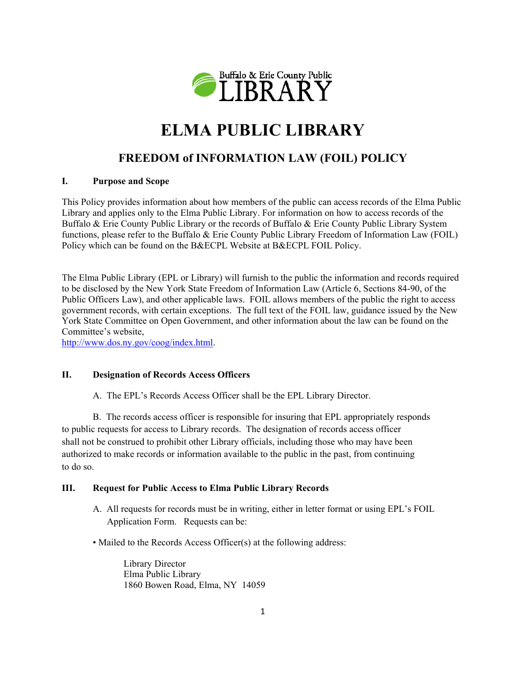

# **ELMA PUBLIC LIBRARY**

# **FREEDOM of INFORMATION LAW (FOIL) POLICY**

## **I. Purpose and Scope**

This Policy provides information about how members of the public can access records of the Elma Public Library and applies only to the Elma Public Library. For information on how to access records of the Buffalo & Erie County Public Library or the records of Buffalo & Erie County Public Library System functions, please refer to the Buffalo & Erie County Public Library Freedom of Information Law (FOIL) Policy which can be found on the B&ECPL Website at B&ECPL FOIL Policy.

The Elma Public Library (EPL or Library) will furnish to the public the information and records required to be disclosed by the New York State Freedom of Information Law (Article 6, Sections 84-90, of the Public Officers Law), and other applicable laws. FOIL allows members of the public the right to access government records, with certain exceptions. The full text of the FOIL law, guidance issued by the New York State Committee on Open Government, and other information about the law can be found on the Committee's website,

http://www.dos.ny.gov/coog/index.html.

## **II. Designation of Records Access Officers**

A. The EPL's Records Access Officer shall be the EPL Library Director.

 B. The records access officer is responsible for insuring that EPL appropriately responds to public requests for access to Library records. The designation of records access officer shall not be construed to prohibit other Library officials, including those who may have been authorized to make records or information available to the public in the past, from continuing to do so.

## **III. Request for Public Access to Elma Public Library Records**

- A. All requests for records must be in writing, either in letter format or using EPL's FOIL Application Form. Requests can be:
- Mailed to the Records Access Officer(s) at the following address:

 Library Director Elma Public Library 1860 Bowen Road, Elma, NY 14059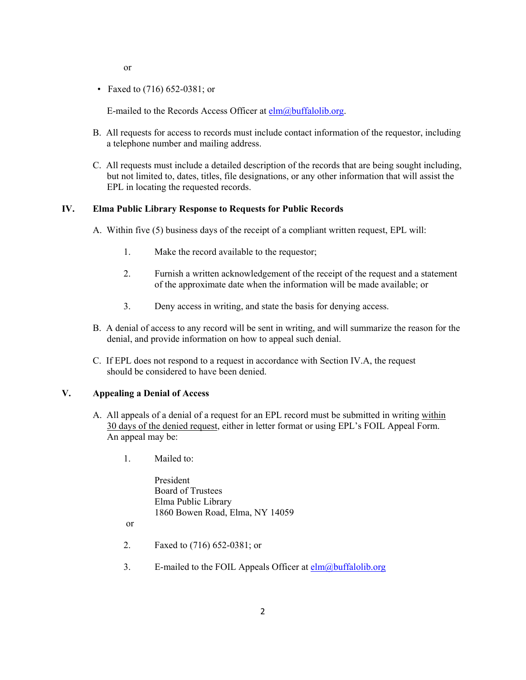or

• Faxed to (716) 652-0381; or

E-mailed to the Records Access Officer at  $elm(*a*)$ buffalolib.org.

- B. All requests for access to records must include contact information of the requestor, including a telephone number and mailing address.
- C. All requests must include a detailed description of the records that are being sought including, but not limited to, dates, titles, file designations, or any other information that will assist the EPL in locating the requested records.

#### **IV. Elma Public Library Response to Requests for Public Records**

- A. Within five (5) business days of the receipt of a compliant written request, EPL will:
	- 1. Make the record available to the requestor;
	- 2. Furnish a written acknowledgement of the receipt of the request and a statement of the approximate date when the information will be made available; or
	- 3. Deny access in writing, and state the basis for denying access.
- B. A denial of access to any record will be sent in writing, and will summarize the reason for the denial, and provide information on how to appeal such denial.
- C. If EPL does not respond to a request in accordance with Section IV.A, the request should be considered to have been denied.

#### **V. Appealing a Denial of Access**

- A. All appeals of a denial of a request for an EPL record must be submitted in writing within 30 days of the denied request, either in letter format or using EPL's FOIL Appeal Form. An appeal may be:
	- 1. Mailed to:

 President Board of Trustees Elma Public Library 1860 Bowen Road, Elma, NY 14059

or

- 2. Faxed to (716) 652-0381; or
- 3. E-mailed to the FOIL Appeals Officer at  $elm(*a*)$ buffalolib.org